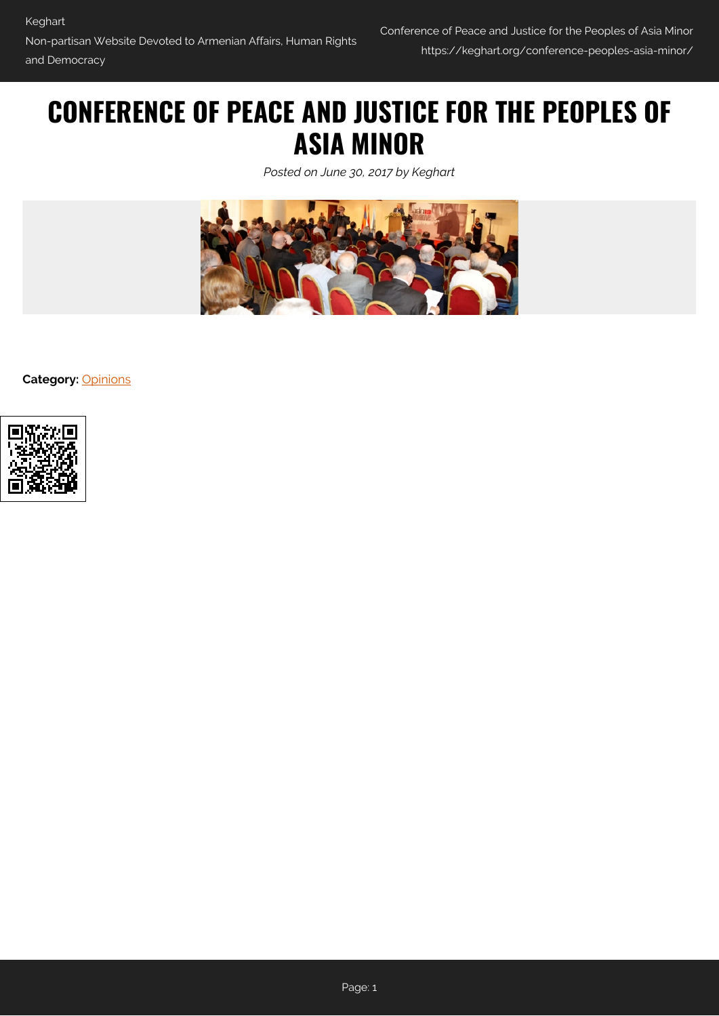# **CONFERENCE OF PEACE AND JUSTICE FOR THE PEOPLES OF ASIA MINOR**

*Posted on June 30, 2017 by Keghart*



**Category:** [Opinions](https://keghart.org/category/opinions/)

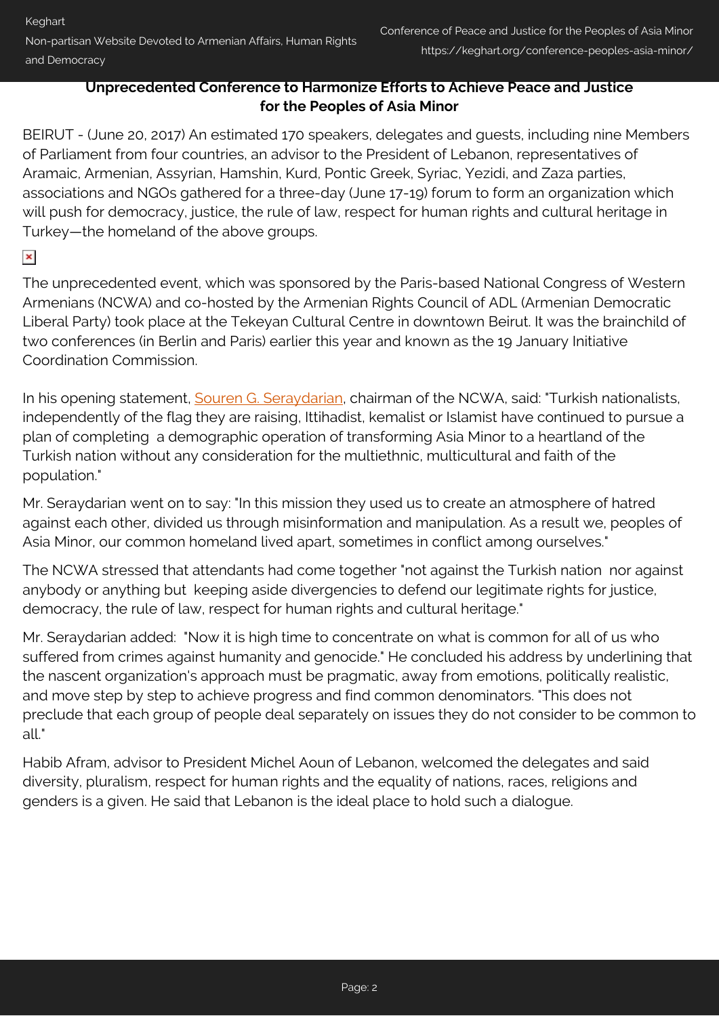## **Unprecedented Conference to Harmonize Efforts to Achieve Peace and Justice for the Peoples of Asia Minor**

BEIRUT - (June 20, 2017) An estimated 170 speakers, delegates and guests, including nine Members of Parliament from four countries, an advisor to the President of Lebanon, representatives of Aramaic, Armenian, Assyrian, Hamshin, Kurd, Pontic Greek, Syriac, Yezidi, and Zaza parties, associations and NGOs gathered for a three-day (June 17-19) forum to form an organization which will push for democracy, justice, the rule of law, respect for human rights and cultural heritage in Turkey—the homeland of the above groups.

# $\pmb{\times}$

The unprecedented event, which was sponsored by the Paris-based National Congress of Western Armenians (NCWA) and co-hosted by the Armenian Rights Council of ADL (Armenian Democratic Liberal Party) took place at the Tekeyan Cultural Centre in downtown Beirut. It was the brainchild of two conferences (in Berlin and Paris) earlier this year and known as the 19 January Initiative Coordination Commission.

In his opening statement, [Souren G. Seraydarian](#page--1-0), chairman of the NCWA, said: "Turkish nationalists, independently of the flag they are raising, Ittihadist, kemalist or Islamist have continued to pursue a plan of completing a demographic operation of transforming Asia Minor to a heartland of the Turkish nation without any consideration for the multiethnic, multicultural and faith of the population."

Mr. Seraydarian went on to say: "In this mission they used us to create an atmosphere of hatred against each other, divided us through misinformation and manipulation. As a result we, peoples of Asia Minor, our common homeland lived apart, sometimes in conflict among ourselves."

The NCWA stressed that attendants had come together "not against the Turkish nation nor against anybody or anything but keeping aside divergencies to defend our legitimate rights for justice, democracy, the rule of law, respect for human rights and cultural heritage."

Mr. Seraydarian added: "Now it is high time to concentrate on what is common for all of us who suffered from crimes against humanity and genocide." He concluded his address by underlining that the nascent organization's approach must be pragmatic, away from emotions, politically realistic, and move step by step to achieve progress and find common denominators. "This does not preclude that each group of people deal separately on issues they do not consider to be common to all."

Habib Afram, advisor to President Michel Aoun of Lebanon, welcomed the delegates and said diversity, pluralism, respect for human rights and the equality of nations, races, religions and genders is a given. He said that Lebanon is the ideal place to hold such a dialogue.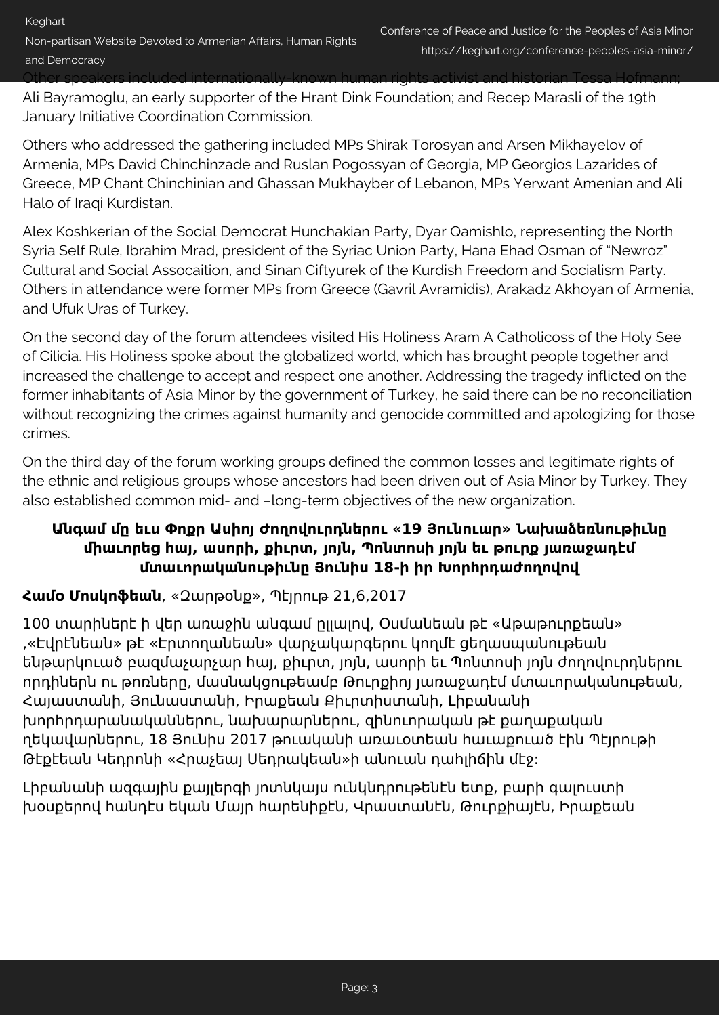Other speakers included internationally-known human rights activist and historian Tessa Hofmann;

Ali Bayramoglu, an early supporter of the Hrant Dink Foundation; and Recep Marasli of the 19th January Initiative Coordination Commission.

Others who addressed the gathering included MPs Shirak Torosyan and Arsen Mikhayelov of Armenia, MPs David Chinchinzade and Ruslan Pogossyan of Georgia, MP Georgios Lazarides of Greece, MP Chant Chinchinian and Ghassan Mukhayber of Lebanon, MPs Yerwant Amenian and Ali Halo of Iraqi Kurdistan.

Alex Koshkerian of the Social Democrat Hunchakian Party, Dyar Qamishlo, representing the North Syria Self Rule, Ibrahim Mrad, president of the Syriac Union Party, Hana Ehad Osman of "Newroz" Cultural and Social Assocaition, and Sinan Ciftyurek of the Kurdish Freedom and Socialism Party. Others in attendance were former MPs from Greece (Gavril Avramidis), Arakadz Akhoyan of Armenia, and Ufuk Uras of Turkey.

On the second day of the forum attendees visited His Holiness Aram A Catholicoss of the Holy See of Cilicia. His Holiness spoke about the globalized world, which has brought people together and increased the challenge to accept and respect one another. Addressing the tragedy inflicted on the former inhabitants of Asia Minor by the government of Turkey, he said there can be no reconciliation without recognizing the crimes against humanity and genocide committed and apologizing for those crimes.

On the third day of the forum working groups defined the common losses and legitimate rights of the ethnic and religious groups whose ancestors had been driven out of Asia Minor by Turkey. They also established common mid- and –long-term objectives of the new organization.

# **Անգամ մը եւս Փոքր Ասիոյ Ժողովուրդներու «19 Յունուար» Նախաձեռնութիւնը միաւորեց հայ, ասորի, քիւրտ, յոյն, Պոնտոսի յոյն եւ թուրք յառաջադէմ մտաւորականութիւնը Յունիս 18-ի իր Խորհրդաժողովով**

# **Համօ Մոսկոֆեան**, «Զարթօնք», Պէյրութ 21,6,2017

100 տարիներէ ի վեր առաջին անգամ ըլլալով, Օսմանեան թէ «Աթաթուրքեան» ,«Էվրէնեան» թէ «Էրտողանեան» վարչակարգերու կողմէ ցեղասպանութեան ենթարկուած բազմաչարչար հայ, քիւրտ, յոյն, ասորի եւ Պոնտոսի յոյն ժողովուրդներու որդիներն ու թոռները, մասնակցութեամբ Թուրքիոյ յառաջադէմ մտաւորականութեան, Հայաստանի, Յունաստանի, Իրաքեան Քիւրտիստանի, Լիբանանի խորհրդարանականներու, նախարարներու, զինուորական թէ քաղաքական ղեկավարներու, 18 Յունիս 2017 թուականի առաւօտեան հաւաքուած էին Պէյրութի Թէքէեան Կեդրոնի «Հրաչեայ Սեդրակեան»ի անուան դահլիճին մէջ:

Լիբանանի ազգային քայլերգի յոտնկայս ունկնդրութենէն ետք, բարի գալուստի խօսքերով հանդէս եկան Մայր հարենիքէն, Վրաստանէն, Թուրքիայէն, Իրաքեան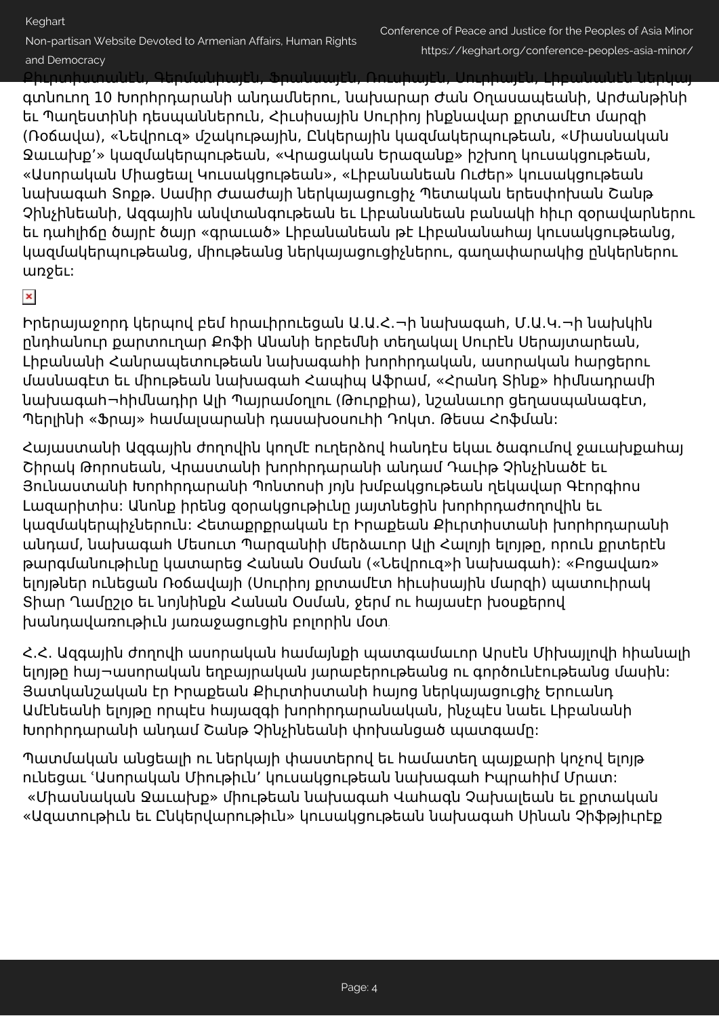Non-partisan Website Devoted to Armenian Affairs, Human Rights

### and Democracy

Քիւրտիստանէն, Գերմանիայէն, Ֆրանսայէն, Ռուսիայէն, Սուրիայէն, Լիբանանէն ներկայ

գտնուող 10 Խորհրդարանի անդամներու, նախարար Ժան Օղասապեանի, Արժանթինի եւ Պաղեստինի դեսպաններուն, Հիւսիսային Սուրիոյ ինքնավար քրտամէտ մարզի (Ռօճավա), «Նեվրուզ» մշակութային, Ընկերային կազմակերպութեան, «Միասնական Ջաւախք՚» կազմակերպութեան, «Վրացական Երազանք» իշխող կուսակցութեան, «Ասորական Միացեալ Կուսակցութեան», «Լիբանանեան Ուժեր» կուսակցութեան նախագահ Տոքթ. Սամիր Ժաաժայի ներկայացուցիչ Պետական երեսփոխան Շանթ Չինչինեանի, Ազգային անվտանգութեան եւ Լիբանանեան բանակի հիւր զօրավարներու եւ դահլիճը ծայրէ ծայր «գրաւած» Լիբանանեան թէ Լիբանանահայ կուսակցութեանց, կազմակերպութեանց, միութեանց ներկայացուցիչներու, գաղափարակից ընկերներու առջեւ:

# $\pmb{\times}$

Իրերայաջորդ կերպով բեմ հրաւիրուեցան Ա.Ա.Հ.¬ի նախագահ, Մ.Ա.Կ.¬ի նախկին ընդհանուր քարտուղար Քոֆի Անանի երբեմնի տեղակալ Սուրէն Սերայտարեան, Լիբանանի Հանրապետութեան նախագահի խորհրդական, ասորական հարցերու մասնագէտ եւ միութեան նախագահ Հապիպ Աֆրամ, «Հրանդ Տինք» հիմնադրամի նախագահ¬հիմնադիր Ալի Պայրամօղլու (Թուրքիա), նշանաւոր ցեղասպանագէտ, Պերլինի «Ֆրայ» համալսարանի դասախօսուհի Դոկտ. Թեսա Հոֆման:

Հայաստանի Ազգային ժողովին կողմէ ուղերձով հանդէս եկաւ ծագումով ջաւախքահայ Շիրակ Թորոսեան, Վրաստանի խորհրդարանի անդամ Դաւիթ Չինչինածէ եւ Յունաստանի Խորհրդարանի Պոնտոսի յոյն խմբակցութեան ղեկավար Գէորգիոս Լազարիտիս: Անոնք իրենց զօրակցութիւնը յայտնեցին խորհրդաժողովին եւ կազմակերպիչներուն: Հետաքրքրական էր Իրաքեան Քիւրտիստանի խորհրդարանի անդամ, նախագահ Մեսուտ Պարզանիի մերձաւոր Ալի Հալոյի ելոյթը, որուն քրտերէն թարգմանութիւնը կատարեց Հանան Օսման («Նեվրուզ»ի նախագահ): «Բոցավառ» ելոյթներ ունեցան Ռօճավայի (Սուրիոյ քրտամէտ հիւսիսային մարզի) պատուիրակ Տիար Ղամըշլօ եւ նոյնինքն Հանան Օսման, ջերմ ու հայասէր խօսքերով խանդավառութիւն յառաջացուցին բոլորին մօտ:

Հ.Հ. Ազգային ժողովի ասորական համայնքի պատգամաւոր Արսէն Միխայլովի հիանալի ելոյթը հայ¬ասորական եղբայրական յարաբերութեանց ու գործունէութեանց մասին: Յատկանշական էր Իրաքեան Քիւրտիստանի հայոց ներկայացուցիչ Երուանդ Ամէնեանի ելոյթը որպէս հայազգի խորհրդարանական, ինչպէս նաեւ Լիբանանի Խորհրդարանի անդամ Շանթ Չինչինեանի փոխանցած պատգամը:

Պատմական անցեալի ու ներկայի փաստերով եւ համատեղ պայքարի կոչով ելոյթ ունեցաւ ՙԱսորական Միութիւն՚ կուսակցութեան նախագահ Իպրահիմ Մրատ: «Միասնական Ջաւախք» միութեան նախագահ Վահագն Չախալեան եւ քրտական «Ազատութիւն եւ Ընկերվարութիւն» կուսակցութեան նախագահ Սինան Չիֆթյիւրէք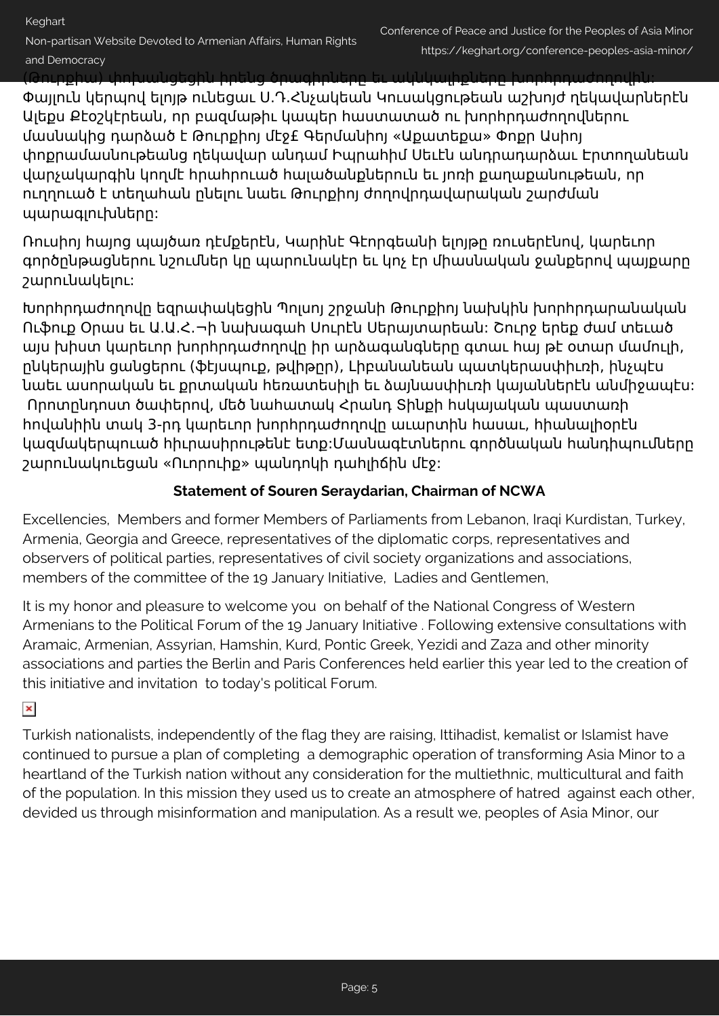Non-partisan Website Devoted to Armenian Affairs, Human Rights

### and Democracy

(Թուրքիա) փոխանցեցին իրենց ծրագիրները եւ ակնկալիքները խորհրդաժողովին:

Փայլուն կերպով ելոյթ ունեցաւ Ս.Դ.Հնչակեան Կուսակցութեան աշխոյժ ղեկավարներէն Ալեքս Քէօշկէրեան, որ բազմաթիւ կապեր հաստատած ու խորհրդաժողովներու մասնակից դարձած է Թուրքիոյ մէջ£ Գերմանիոյ «Աքատեքա» Փոքր Ասիոյ փոքրամասնութեանց ղեկավար անդամ Իպրահիմ Սեւէն անդրադարձաւ Էրտողանեան վարչակարգին կողմէ հրահրուած հալածանքներուն եւ յոռի քաղաքանութեան, որ ուղղուած է տեղահան ընելու նաեւ Թուրքիոյ ժողովրդավարական շարժման պարագլուխները:

Ռուսիոյ հայոց պայծառ դէմքերէն, Կարինէ Գէորգեանի ելոյթը ռուսերէնով, կարեւոր գործընթացներու նշումներ կը պարունակէր եւ կոչ էր միասնական ջանքերով պայքարը շարունակելու:

Խորհրդաժողովը եզրափակեցին Պոլսոյ շրջանի Թուրքիոյ նախկին խորհրդարանական Ուֆուք Օրաս եւ Ա.Ա.Հ.¬ի նախագահ Սուրէն Սերայտարեան: Շուրջ երեք ժամ տեւած այս խիստ կարեւոր խորհրդաժողովը իր արձագանգները գտաւ հայ թէ օտար մամուլի, ընկերային ցանցերու (ֆէյսպուք, թվիթըր), Լիբանանեան պատկերասփիւռի, ինչպէս նաեւ ասորական եւ քրտական հեռատեսիլի եւ ձայնասփիւռի կայաններէն անմիջապէս: Որոտընդոստ ծափերով, մեծ նահատակ Հրանդ Տինքի հսկայական պաստառի հովանիին տակ 3-րդ կարեւոր խորհրդաժողովը աւարտին հասաւ, հիանալիօրէն կազմակերպուած հիւրասիրութենէ ետք:Մասնագէտներու գործնական հանդիպումները շարունակուեցան «Ուորուիք» պանդոկի դահլիճին մէջ:

# **Statement of Souren Seraydarian, Chairman of NCWA**

Excellencies, Members and former Members of Parliaments from Lebanon, Iraqi Kurdistan, Turkey, Armenia, Georgia and Greece, representatives of the diplomatic corps, representatives and observers of political parties, representatives of civil society organizations and associations, members of the committee of the 19 January Initiative, Ladies and Gentlemen,

It is my honor and pleasure to welcome you on behalf of the National Congress of Western Armenians to the Political Forum of the 19 January Initiative . Following extensive consultations with Aramaic, Armenian, Assyrian, Hamshin, Kurd, Pontic Greek, Yezidi and Zaza and other minority associations and parties the Berlin and Paris Conferences held earlier this year led to the creation of this initiative and invitation to today's political Forum.

# $\pmb{\times}$

Turkish nationalists, independently of the flag they are raising, Ittihadist, kemalist or Islamist have continued to pursue a plan of completing a demographic operation of transforming Asia Minor to a heartland of the Turkish nation without any consideration for the multiethnic, multicultural and faith of the population. In this mission they used us to create an atmosphere of hatred against each other, devided us through misinformation and manipulation. As a result we, peoples of Asia Minor, our